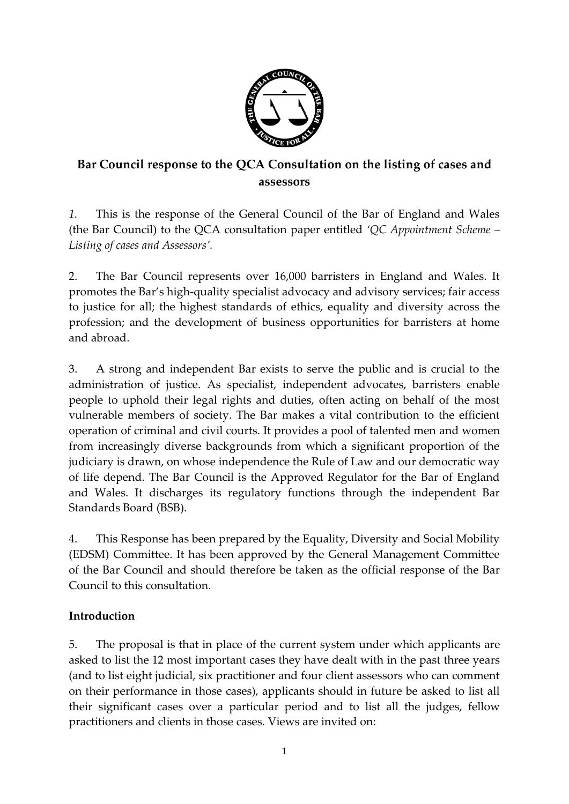

# **Bar Council response to the QCA Consultation on the listing of cases and assessors**

*1.* This is the response of the General Council of the Bar of England and Wales (the Bar Council) to the QCA consultation paper entitled *'QC Appointment Scheme – Listing of cases and Assessors'.*

2. The Bar Council represents over 16,000 barristers in England and Wales. It promotes the Bar's high-quality specialist advocacy and advisory services; fair access to justice for all; the highest standards of ethics, equality and diversity across the profession; and the development of business opportunities for barristers at home and abroad.

3. A strong and independent Bar exists to serve the public and is crucial to the administration of justice. As specialist, independent advocates, barristers enable people to uphold their legal rights and duties, often acting on behalf of the most vulnerable members of society. The Bar makes a vital contribution to the efficient operation of criminal and civil courts. It provides a pool of talented men and women from increasingly diverse backgrounds from which a significant proportion of the judiciary is drawn, on whose independence the Rule of Law and our democratic way of life depend. The Bar Council is the Approved Regulator for the Bar of England and Wales. It discharges its regulatory functions through the independent Bar Standards Board (BSB).

4. This Response has been prepared by the Equality, Diversity and Social Mobility (EDSM) Committee. It has been approved by the General Management Committee of the Bar Council and should therefore be taken as the official response of the Bar Council to this consultation.

## **Introduction**

5. The proposal is that in place of the current system under which applicants are asked to list the 12 most important cases they have dealt with in the past three years (and to list eight judicial, six practitioner and four client assessors who can comment on their performance in those cases), applicants should in future be asked to list all their significant cases over a particular period and to list all the judges, fellow practitioners and clients in those cases. Views are invited on: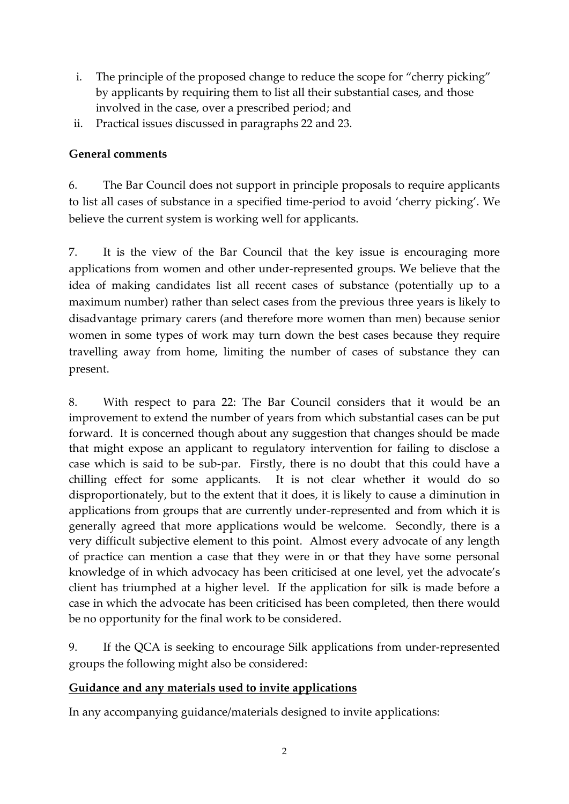- i. The principle of the proposed change to reduce the scope for "cherry picking" by applicants by requiring them to list all their substantial cases, and those involved in the case, over a prescribed period; and
- ii. Practical issues discussed in paragraphs 22 and 23.

### **General comments**

6. The Bar Council does not support in principle proposals to require applicants to list all cases of substance in a specified time-period to avoid 'cherry picking'. We believe the current system is working well for applicants.

7. It is the view of the Bar Council that the key issue is encouraging more applications from women and other under-represented groups. We believe that the idea of making candidates list all recent cases of substance (potentially up to a maximum number) rather than select cases from the previous three years is likely to disadvantage primary carers (and therefore more women than men) because senior women in some types of work may turn down the best cases because they require travelling away from home, limiting the number of cases of substance they can present.

8. With respect to para 22: The Bar Council considers that it would be an improvement to extend the number of years from which substantial cases can be put forward. It is concerned though about any suggestion that changes should be made that might expose an applicant to regulatory intervention for failing to disclose a case which is said to be sub-par. Firstly, there is no doubt that this could have a chilling effect for some applicants. It is not clear whether it would do so disproportionately, but to the extent that it does, it is likely to cause a diminution in applications from groups that are currently under-represented and from which it is generally agreed that more applications would be welcome. Secondly, there is a very difficult subjective element to this point. Almost every advocate of any length of practice can mention a case that they were in or that they have some personal knowledge of in which advocacy has been criticised at one level, yet the advocate's client has triumphed at a higher level. If the application for silk is made before a case in which the advocate has been criticised has been completed, then there would be no opportunity for the final work to be considered.

9. If the QCA is seeking to encourage Silk applications from under-represented groups the following might also be considered:

### **Guidance and any materials used to invite applications**

In any accompanying guidance/materials designed to invite applications: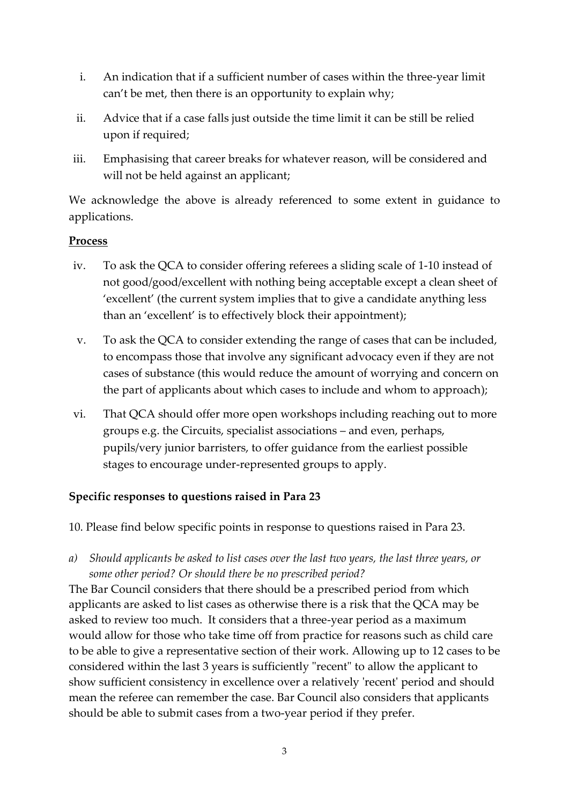- i. An indication that if a sufficient number of cases within the three-year limit can't be met, then there is an opportunity to explain why;
- ii. Advice that if a case falls just outside the time limit it can be still be relied upon if required;
- iii. Emphasising that career breaks for whatever reason, will be considered and will not be held against an applicant;

We acknowledge the above is already referenced to some extent in guidance to applications.

### **Process**

- iv. To ask the QCA to consider offering referees a sliding scale of 1-10 instead of not good/good/excellent with nothing being acceptable except a clean sheet of 'excellent' (the current system implies that to give a candidate anything less than an 'excellent' is to effectively block their appointment);
- v. To ask the QCA to consider extending the range of cases that can be included, to encompass those that involve any significant advocacy even if they are not cases of substance (this would reduce the amount of worrying and concern on the part of applicants about which cases to include and whom to approach);
- vi. That QCA should offer more open workshops including reaching out to more groups e.g. the Circuits, specialist associations – and even, perhaps, pupils/very junior barristers, to offer guidance from the earliest possible stages to encourage under-represented groups to apply.

### **Specific responses to questions raised in Para 23**

- 10. Please find below specific points in response to questions raised in Para 23.
- *a) Should applicants be asked to list cases over the last two years, the last three years, or some other period? Or should there be no prescribed period?*

The Bar Council considers that there should be a prescribed period from which applicants are asked to list cases as otherwise there is a risk that the QCA may be asked to review too much. It considers that a three-year period as a maximum would allow for those who take time off from practice for reasons such as child care to be able to give a representative section of their work. Allowing up to 12 cases to be considered within the last 3 years is sufficiently "recent" to allow the applicant to show sufficient consistency in excellence over a relatively 'recent' period and should mean the referee can remember the case. Bar Council also considers that applicants should be able to submit cases from a two-year period if they prefer.